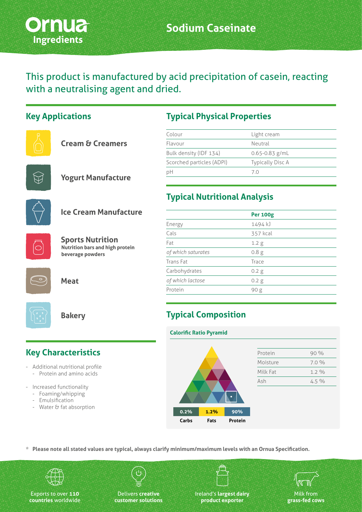

This product is manufactured by acid precipitation of casein, reacting with a neutralising agent and dried.

#### **Key Applications**

| <b>Cream &amp; Creamers</b> |  |  |
|-----------------------------|--|--|
|                             |  |  |



**Yogurt Manufacture**



#### **Ice Cream Manufacture**



**Sports Nutrition Nutrition bars and high protein beverage powders**



**Meat**



**Bakery**

# **Key Characteristics**

- Additional nutritional profile
	- Protein and amino acids
- Increased functionality
	- Foaming/whipping
	- Emulsification
	- Water & fat absorption

# **Typical Physical Properties**

| Colour                    | Light cream             |
|---------------------------|-------------------------|
| Flavour                   | Neutral                 |
| Bulk density (IDF 134)    | $0.65 - 0.83$ g/mL      |
| Scorched particles (ADPI) | <b>Typically Disc A</b> |
| pH                        | 7.0                     |

## **Typical Nutritional Analysis**

|                    | <b>Per 100g</b>  |  |
|--------------------|------------------|--|
| Energy             | 1494 kJ          |  |
| Cals               | 357 kcal         |  |
| Fat                | 1.2 <sub>g</sub> |  |
| of which saturates | 0.8 <sub>g</sub> |  |
| Trans Fat          | Trace            |  |
| Carbohydrates      | 0.2 g            |  |
| of which lactose   | $0.2$ g          |  |
| Protein            | 90 <sub>g</sub>  |  |
|                    |                  |  |

# **Typical Composition**

**Calorific Ratio Pyramid**



| Protein  | 90%     |
|----------|---------|
| Moisture | 7.0%    |
| Milk Fat | $1.2\%$ |
| Ash      | $4.5\%$ |

| 0.2%  | 1.2% | 90%     |
|-------|------|---------|
| Carbs | Fats | Protein |

**\* Please note all stated values are typical, always clarify minimum/maximum levels with an Ornua Specification.**



Exports to over **110 countries** worldwide

Delivers **creative customer solutions** Ireland's **largest dairy product exporter**